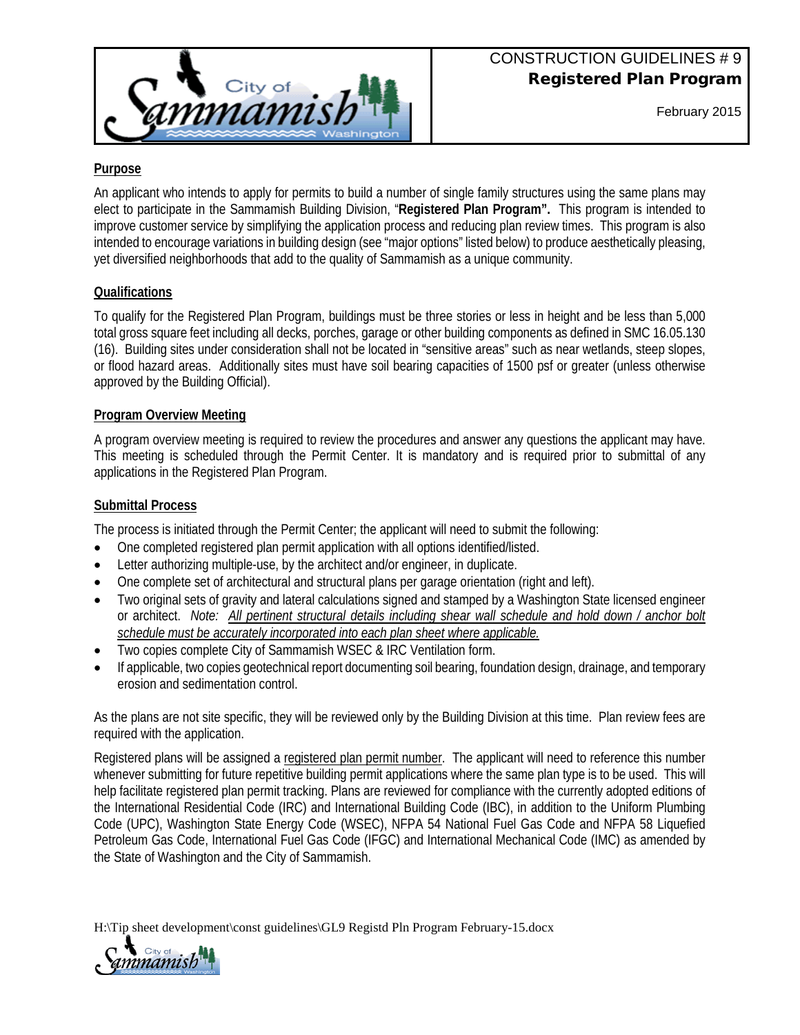

February 2015

# **Purpose**

An applicant who intends to apply for permits to build a number of single family structures using the same plans may elect to participate in the Sammamish Building Division, "**Registered Plan Program".** This program is intended to improve customer service by simplifying the application process and reducing plan review times. This program is also intended to encourage variations in building design (see "major options" listed below) to produce aesthetically pleasing, yet diversified neighborhoods that add to the quality of Sammamish as a unique community.

## **Qualifications**

To qualify for the Registered Plan Program, buildings must be three stories or less in height and be less than 5,000 total gross square feet including all decks, porches, garage or other building components as defined in SMC 16.05.130 (16). Building sites under consideration shall not be located in "sensitive areas" such as near wetlands, steep slopes, or flood hazard areas. Additionally sites must have soil bearing capacities of 1500 psf or greater (unless otherwise approved by the Building Official).

# **Program Overview Meeting**

A program overview meeting is required to review the procedures and answer any questions the applicant may have. This meeting is scheduled through the Permit Center. It is mandatory and is required prior to submittal of any applications in the Registered Plan Program.

## **Submittal Process**

The process is initiated through the Permit Center; the applicant will need to submit the following:

- One completed registered plan permit application with all options identified/listed.
- Letter authorizing multiple-use, by the architect and/or engineer, in duplicate.
- One complete set of architectural and structural plans per garage orientation (right and left).
- Two original sets of gravity and lateral calculations signed and stamped by a Washington State licensed engineer or architect. *Note: All pertinent structural details including shear wall schedule and hold down / anchor bolt schedule must be accurately incorporated into each plan sheet where applicable.*
- Two copies complete City of Sammamish WSEC & IRC Ventilation form.
- If applicable, two copies geotechnical report documenting soil bearing, foundation design, drainage, and temporary erosion and sedimentation control.

As the plans are not site specific, they will be reviewed only by the Building Division at this time. Plan review fees are required with the application.

Registered plans will be assigned a registered plan permit number. The applicant will need to reference this number whenever submitting for future repetitive building permit applications where the same plan type is to be used. This will help facilitate registered plan permit tracking. Plans are reviewed for compliance with the currently adopted editions of the International Residential Code (IRC) and International Building Code (IBC), in addition to the Uniform Plumbing Code (UPC), Washington State Energy Code (WSEC), NFPA 54 National Fuel Gas Code and NFPA 58 Liquefied Petroleum Gas Code, International Fuel Gas Code (IFGC) and International Mechanical Code (IMC) as amended by the State of Washington and the City of Sammamish.

H:\Tip sheet development\const guidelines\GL9 Registd Pln Program February-15.docx

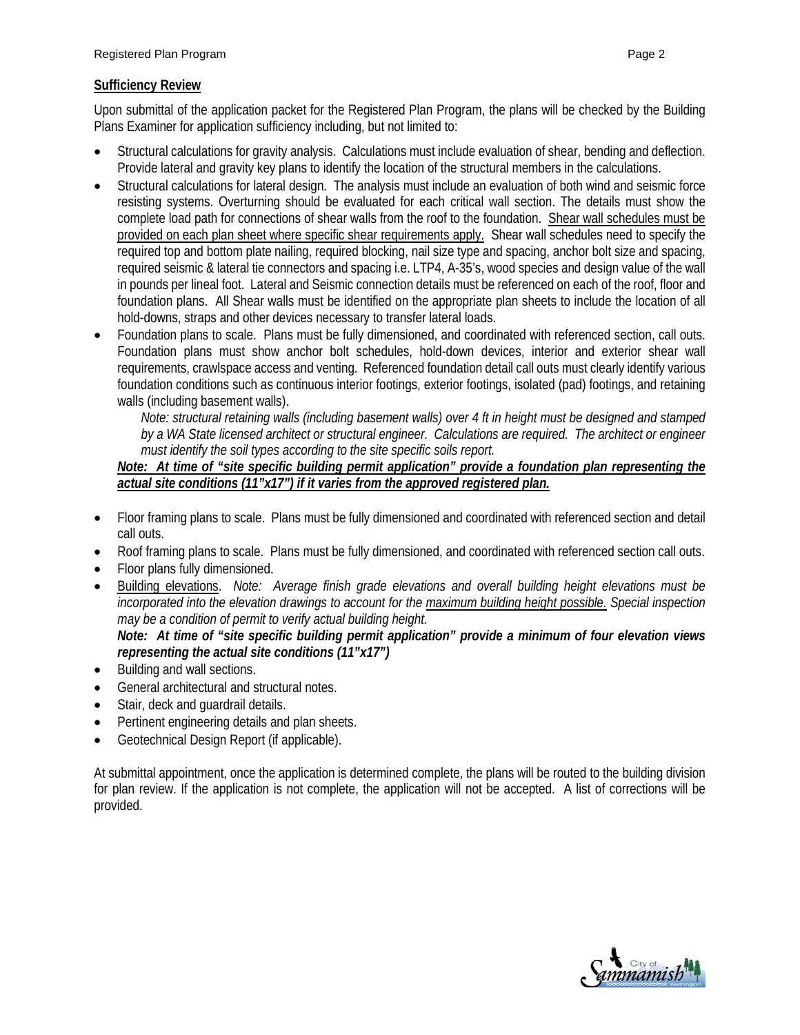#### **Sufficiency Review**

Upon submittal of the application packet for the Registered Plan Program, the plans will be checked by the Building Plans Examiner for application sufficiency including, but not limited to:

- Structural calculations for gravity analysis. Calculations must include evaluation of shear, bending and deflection. Provide lateral and gravity key plans to identify the location of the structural members in the calculations.
- Structural calculations for lateral design. The analysis must include an evaluation of both wind and seismic force resisting systems. Overturning should be evaluated for each critical wall section. The details must show the complete load path for connections of shear walls from the roof to the foundation. Shear wall schedules must be provided on each plan sheet where specific shear requirements apply. Shear wall schedules need to specify the required top and bottom plate nailing, required blocking, nail size type and spacing, anchor bolt size and spacing, required seismic & lateral tie connectors and spacing i.e. LTP4, A-35's, wood species and design value of the wall in pounds per lineal foot. Lateral and Seismic connection details must be referenced on each of the roof, floor and foundation plans. All Shear walls must be identified on the appropriate plan sheets to include the location of all hold-downs, straps and other devices necessary to transfer lateral loads.
- Foundation plans to scale. Plans must be fully dimensioned, and coordinated with referenced section, call outs. Foundation plans must show anchor bolt schedules, hold-down devices, interior and exterior shear wall requirements, crawlspace access and venting. Referenced foundation detail call outs must clearly identify various foundation conditions such as continuous interior footings, exterior footings, isolated (pad) footings, and retaining walls (including basement walls).

*Note: structural retaining walls (including basement walls) over 4 ft in height must be designed and stamped*  by a WA State licensed architect or structural engineer. Calculations are required. The architect or engineer *must identify the soil types according to the site specific soils report.*

#### *Note: At time of "site specific building permit application" provide a foundation plan representing the actual site conditions (11"x17") if it varies from the approved registered plan.*

- Floor framing plans to scale. Plans must be fully dimensioned and coordinated with referenced section and detail call outs.
- Roof framing plans to scale. Plans must be fully dimensioned, and coordinated with referenced section call outs.
- Floor plans fully dimensioned.
- Building elevations. *Note: Average finish grade elevations and overall building height elevations must be incorporated into the elevation drawings to account for the maximum building height possible. Special inspection may be a condition of permit to verify actual building height.*

## *Note: At time of "site specific building permit application" provide a minimum of four elevation views representing the actual site conditions (11"x17")*

- Building and wall sections.
- General architectural and structural notes.
- Stair, deck and guardrail details.
- Pertinent engineering details and plan sheets.
- Geotechnical Design Report (if applicable).

At submittal appointment, once the application is determined complete, the plans will be routed to the building division for plan review. If the application is not complete, the application will not be accepted. A list of corrections will be provided.

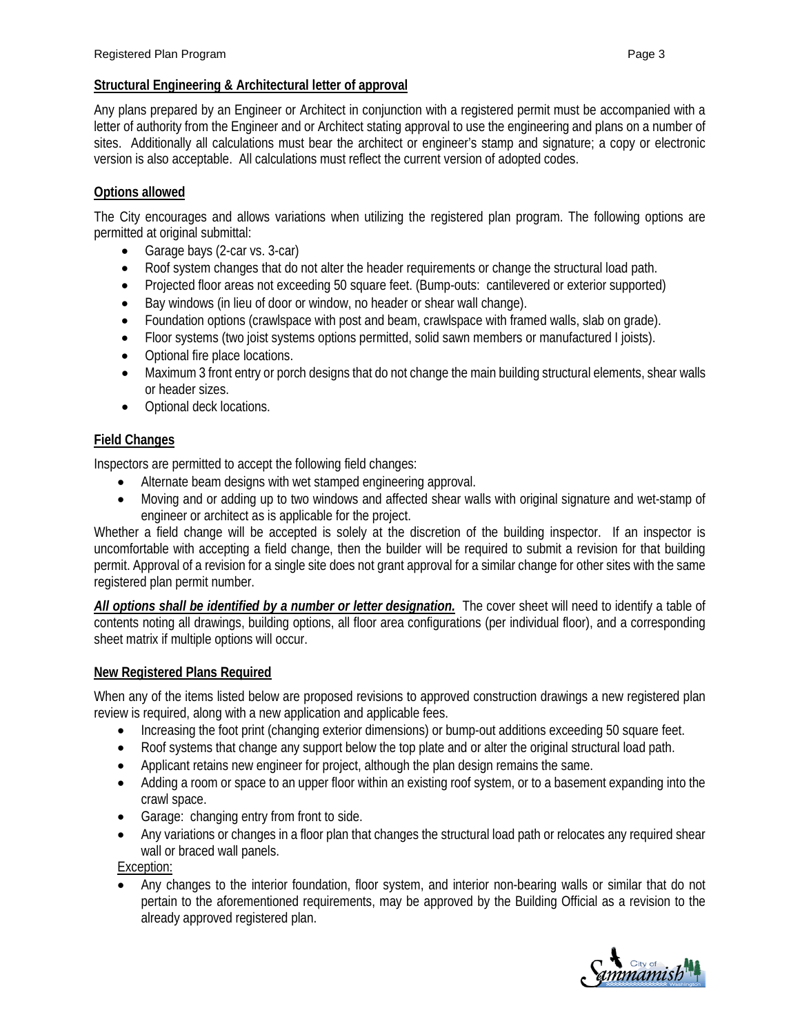# **Structural Engineering & Architectural letter of approval**

Any plans prepared by an Engineer or Architect in conjunction with a registered permit must be accompanied with a letter of authority from the Engineer and or Architect stating approval to use the engineering and plans on a number of sites. Additionally all calculations must bear the architect or engineer's stamp and signature; a copy or electronic version is also acceptable. All calculations must reflect the current version of adopted codes.

# **Options allowed**

The City encourages and allows variations when utilizing the registered plan program. The following options are permitted at original submittal:

- Garage bays (2-car vs. 3-car)
- Roof system changes that do not alter the header requirements or change the structural load path.
- Projected floor areas not exceeding 50 square feet. (Bump-outs: cantilevered or exterior supported)
- Bay windows (in lieu of door or window, no header or shear wall change).
- Foundation options (crawlspace with post and beam, crawlspace with framed walls, slab on grade).
- Floor systems (two joist systems options permitted, solid sawn members or manufactured I joists).
- Optional fire place locations.
- Maximum 3 front entry or porch designs that do not change the main building structural elements, shear walls or header sizes.
- Optional deck locations.

# **Field Changes**

Inspectors are permitted to accept the following field changes:

- Alternate beam designs with wet stamped engineering approval.
- Moving and or adding up to two windows and affected shear walls with original signature and wet-stamp of engineer or architect as is applicable for the project.

Whether a field change will be accepted is solely at the discretion of the building inspector. If an inspector is uncomfortable with accepting a field change, then the builder will be required to submit a revision for that building permit. Approval of a revision for a single site does not grant approval for a similar change for other sites with the same registered plan permit number.

*All options shall be identified by a number or letter designation.* The cover sheet will need to identify a table of contents noting all drawings, building options, all floor area configurations (per individual floor), and a corresponding sheet matrix if multiple options will occur.

## **New Registered Plans Required**

When any of the items listed below are proposed revisions to approved construction drawings a new registered plan review is required, along with a new application and applicable fees.

- Increasing the foot print (changing exterior dimensions) or bump-out additions exceeding 50 square feet.
- Roof systems that change any support below the top plate and or alter the original structural load path.
- Applicant retains new engineer for project, although the plan design remains the same.
- Adding a room or space to an upper floor within an existing roof system, or to a basement expanding into the crawl space.
- Garage: changing entry from front to side.
- Any variations or changes in a floor plan that changes the structural load path or relocates any required shear wall or braced wall panels.

Exception:

• Any changes to the interior foundation, floor system, and interior non-bearing walls or similar that do not pertain to the aforementioned requirements, may be approved by the Building Official as a revision to the already approved registered plan.

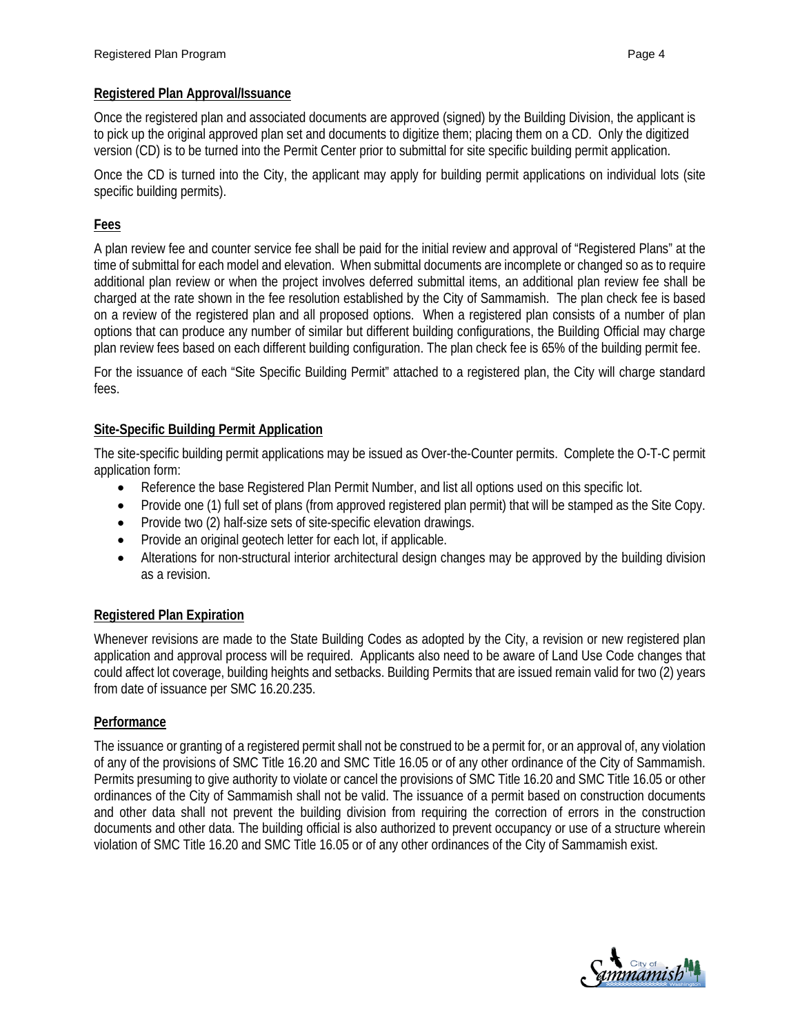#### **Registered Plan Approval/Issuance**

Once the registered plan and associated documents are approved (signed) by the Building Division, the applicant is to pick up the original approved plan set and documents to digitize them; placing them on a CD. Only the digitized version (CD) is to be turned into the Permit Center prior to submittal for site specific building permit application.

Once the CD is turned into the City, the applicant may apply for building permit applications on individual lots (site specific building permits).

#### **Fees**

A plan review fee and counter service fee shall be paid for the initial review and approval of "Registered Plans" at the time of submittal for each model and elevation. When submittal documents are incomplete or changed so as to require additional plan review or when the project involves deferred submittal items, an additional plan review fee shall be charged at the rate shown in the fee resolution established by the City of Sammamish. The plan check fee is based on a review of the registered plan and all proposed options. When a registered plan consists of a number of plan options that can produce any number of similar but different building configurations, the Building Official may charge plan review fees based on each different building configuration. The plan check fee is 65% of the building permit fee.

For the issuance of each "Site Specific Building Permit" attached to a registered plan, the City will charge standard fees.

#### **Site-Specific Building Permit Application**

The site-specific building permit applications may be issued as Over-the-Counter permits. Complete the O-T-C permit application form:

- Reference the base Registered Plan Permit Number, and list all options used on this specific lot.
- Provide one (1) full set of plans (from approved registered plan permit) that will be stamped as the Site Copy.
- Provide two (2) half-size sets of site-specific elevation drawings.
- Provide an original geotech letter for each lot, if applicable.
- Alterations for non-structural interior architectural design changes may be approved by the building division as a revision.

#### **Registered Plan Expiration**

Whenever revisions are made to the State Building Codes as adopted by the City, a revision or new registered plan application and approval process will be required. Applicants also need to be aware of Land Use Code changes that could affect lot coverage, building heights and setbacks. Building Permits that are issued remain valid for two (2) years from date of issuance per SMC 16.20.235.

#### **Performance**

The issuance or granting of a registered permit shall not be construed to be a permit for, or an approval of, any violation of any of the provisions of SMC Title 16.20 and SMC Title 16.05 or of any other ordinance of the City of Sammamish. Permits presuming to give authority to violate or cancel the provisions of SMC Title 16.20 and SMC Title 16.05 or other ordinances of the City of Sammamish shall not be valid. The issuance of a permit based on construction documents and other data shall not prevent the building division from requiring the correction of errors in the construction documents and other data. The building official is also authorized to prevent occupancy or use of a structure wherein violation of SMC Title 16.20 and SMC Title 16.05 or of any other ordinances of the City of Sammamish exist.